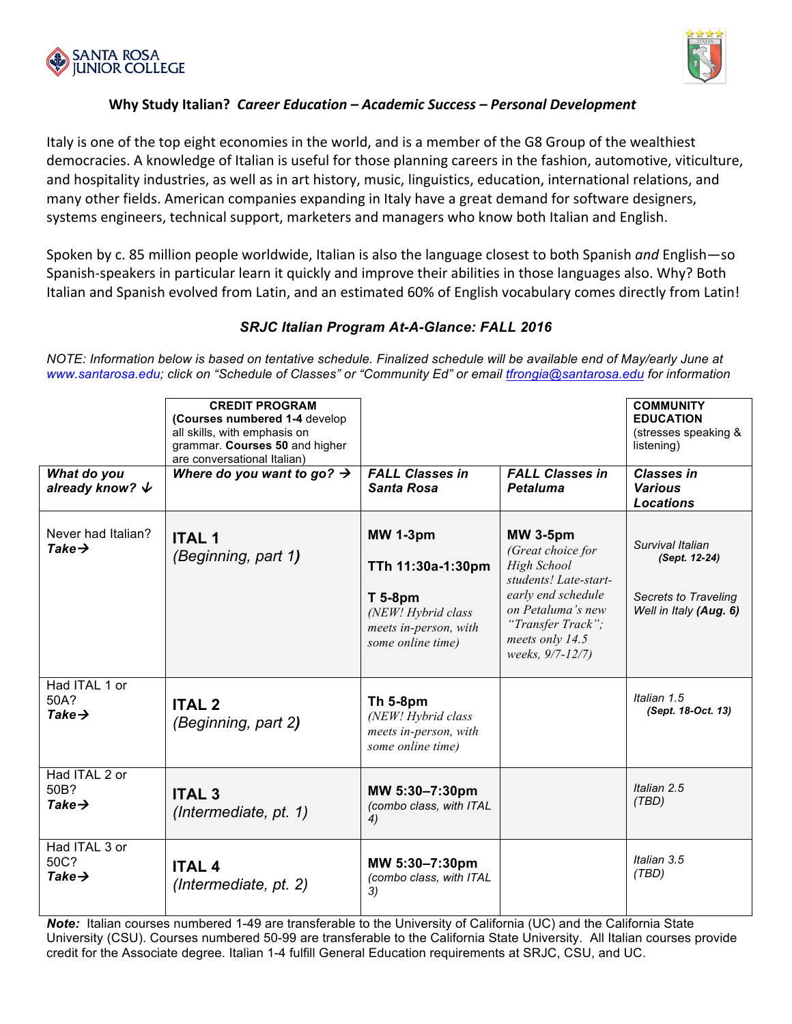



### **Why Study Italian? Career Education – Academic Success – Personal Development**

Italy is one of the top eight economies in the world, and is a member of the G8 Group of the wealthiest democracies. A knowledge of Italian is useful for those planning careers in the fashion, automotive, viticulture, and hospitality industries, as well as in art history, music, linguistics, education, international relations, and many other fields. American companies expanding in Italy have a great demand for software designers, systems engineers, technical support, marketers and managers who know both Italian and English.

Spoken by c. 85 million people worldwide, Italian is also the language closest to both Spanish *and* English—so Spanish-speakers in particular learn it quickly and improve their abilities in those languages also. Why? Both Italian and Spanish evolved from Latin, and an estimated 60% of English vocabulary comes directly from Latin!

### *SRJC Italian Program At-A-Glance: FALL 2016*

*NOTE: Information below is based on tentative schedule. Finalized schedule will be available end of May/early June at www.santarosa.edu; click on "Schedule of Classes" or "Community Ed" or email tfrongia@santarosa.edu for information*

|                                             | <b>CREDIT PROGRAM</b><br>(Courses numbered 1-4 develop)<br>all skills, with emphasis on<br>grammar. Courses 50 and higher<br>are conversational Italian) |                                                                                                                            |                                                                                                                                                                                     | <b>COMMUNITY</b><br><b>EDUCATION</b><br>(stresses speaking &<br>listening)          |
|---------------------------------------------|----------------------------------------------------------------------------------------------------------------------------------------------------------|----------------------------------------------------------------------------------------------------------------------------|-------------------------------------------------------------------------------------------------------------------------------------------------------------------------------------|-------------------------------------------------------------------------------------|
| What do you<br>already know? $\bm{\psi}$    | Where do you want to go? $\rightarrow$                                                                                                                   | <b>FALL Classes in</b><br>Santa Rosa                                                                                       | <b>FALL Classes in</b><br><b>Petaluma</b>                                                                                                                                           | <b>Classes in</b><br><b>Various</b><br><b>Locations</b>                             |
| Never had Italian?<br>Take $\rightarrow$    | <b>ITAL 1</b><br>(Beginning, part 1)                                                                                                                     | <b>MW 1-3pm</b><br>TTh 11:30a-1:30pm<br><b>T</b> 5-8pm<br>(NEW! Hybrid class<br>meets in-person, with<br>some online time) | <b>MW 3-5pm</b><br>(Great choice for<br>High School<br>students! Late-start-<br>early end schedule<br>on Petaluma's new<br>"Transfer Track";<br>meets only 14.5<br>weeks, 9/7-12/7) | Survival Italian<br>(Sept. 12-24)<br>Secrets to Traveling<br>Well in Italy (Aug. 6) |
| Had ITAL 1 or<br>50A?<br>Take $\rightarrow$ | <b>ITAL 2</b><br>(Beginning, part 2)                                                                                                                     | <b>Th 5-8pm</b><br>(NEW! Hybrid class<br>meets in-person, with<br>some online time)                                        |                                                                                                                                                                                     | Italian 1.5<br>(Sept. 18-Oct. 13)                                                   |
| Had ITAL 2 or<br>50B?<br>Take $\rightarrow$ | <b>ITAL 3</b><br>(Intermediate, pt. 1)                                                                                                                   | MW 5:30-7:30pm<br>(combo class, with ITAL<br>4)                                                                            |                                                                                                                                                                                     | Italian 2.5<br>(TBD)                                                                |
| Had ITAL 3 or<br>50C?<br>Take $\rightarrow$ | <b>ITAL 4</b><br>(Intermediate, pt. 2)                                                                                                                   | MW 5:30-7:30pm<br>(combo class, with ITAL<br>3)                                                                            |                                                                                                                                                                                     | Italian 3.5<br>(TBD)                                                                |

*Note:* Italian courses numbered 1-49 are transferable to the University of California (UC) and the California State University (CSU). Courses numbered 50-99 are transferable to the California State University. All Italian courses provide credit for the Associate degree. Italian 1-4 fulfill General Education requirements at SRJC, CSU, and UC.